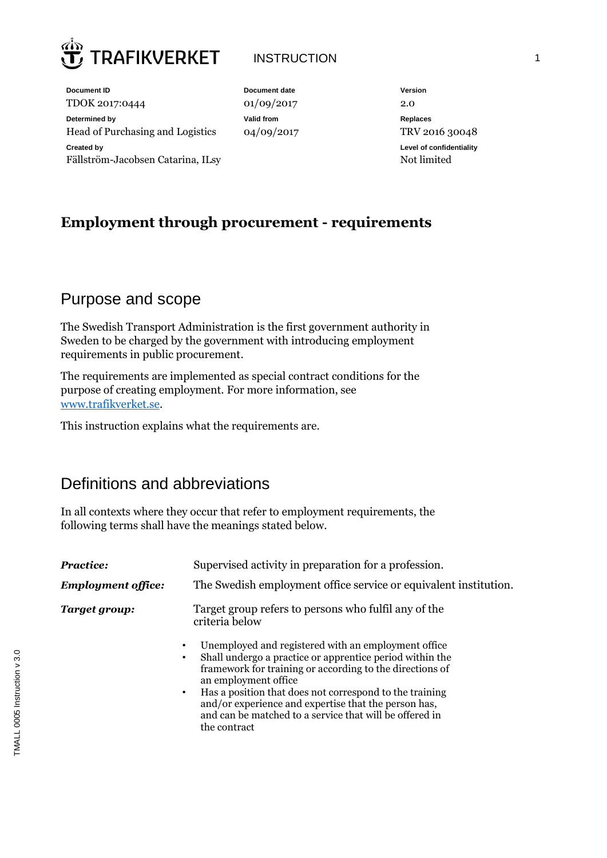

### INSTRUCTION 1

**Document ID Document date Version** TDOK 2017:0444 01/09/2017 2.0 **Determined by Valid from Replaces** Head of Purchasing and Logistics  $04/09/2017$  TRV 2016 30048 **Created by** Fällström-Jacobsen Catarina, ILsy

**Level of confidentiality** Not limited

# **Employment through procurement - requirements**

## Purpose and scope

The Swedish Transport Administration is the first government authority in Sweden to be charged by the government with introducing employment requirements in public procurement.

The requirements are implemented as special contract conditions for the purpose of creating employment. For more information, see [www.trafikverket.se.](http://www.trafikverket.se/for-dig-i-branschen/upphandling/sysselsattningskrav-i-trafikverkets-upphandlingar/)

This instruction explains what the requirements are.

# Definitions and abbreviations

In all contexts where they occur that refer to employment requirements, the following terms shall have the meanings stated below.

| <b>Practice:</b>          | Supervised activity in preparation for a profession.                                                                                                                                                                                                                                                                                                                                                                                                                                       |  |  |
|---------------------------|--------------------------------------------------------------------------------------------------------------------------------------------------------------------------------------------------------------------------------------------------------------------------------------------------------------------------------------------------------------------------------------------------------------------------------------------------------------------------------------------|--|--|
| <b>Employment office:</b> | The Swedish employment office service or equivalent institution.                                                                                                                                                                                                                                                                                                                                                                                                                           |  |  |
| Target group:             | Target group refers to persons who fulfil any of the<br>criteria below<br>Unemployed and registered with an employment office<br>٠<br>Shall undergo a practice or apprentice period within the<br>٠<br>framework for training or according to the directions of<br>an employment office<br>Has a position that does not correspond to the training<br>٠<br>and/or experience and expertise that the person has,<br>and can be matched to a service that will be offered in<br>the contract |  |  |
|                           |                                                                                                                                                                                                                                                                                                                                                                                                                                                                                            |  |  |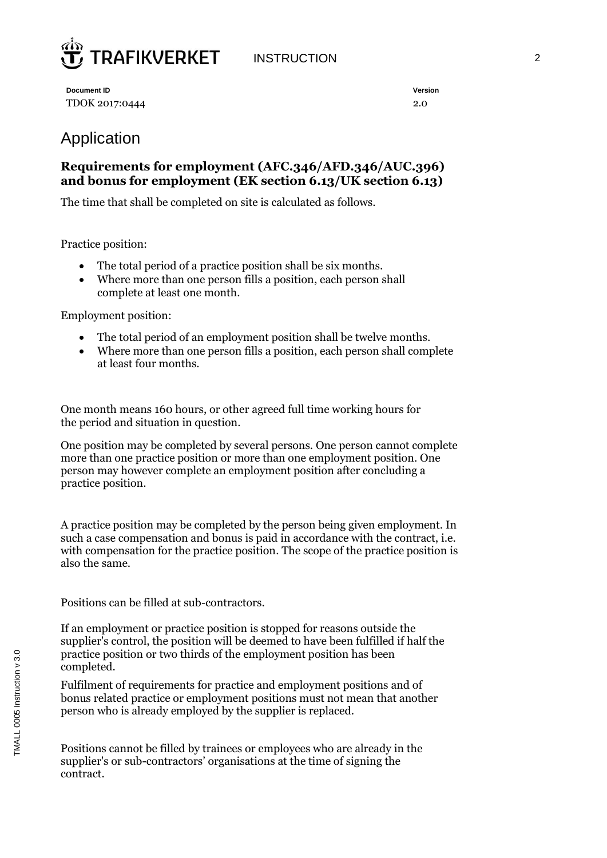

**Document ID Version** TDOK 2017:0444 2.0

# Application

#### **Requirements for employment (AFC.346/AFD.346/AUC.396) and bonus for employment (EK section 6.13/UK section 6.13)**

The time that shall be completed on site is calculated as follows.

Practice position:

- The total period of a practice position shall be six months.
- Where more than one person fills a position, each person shall complete at least one month.

Employment position:

- The total period of an employment position shall be twelve months.
- Where more than one person fills a position, each person shall complete at least four months.

One month means 160 hours, or other agreed full time working hours for the period and situation in question.

One position may be completed by several persons. One person cannot complete more than one practice position or more than one employment position. One person may however complete an employment position after concluding a practice position.

A practice position may be completed by the person being given employment. In such a case compensation and bonus is paid in accordance with the contract, i.e. with compensation for the practice position. The scope of the practice position is also the same.

Positions can be filled at sub-contractors.

If an employment or practice position is stopped for reasons outside the supplier's control, the position will be deemed to have been fulfilled if half the practice position or two thirds of the employment position has been completed.

Fulfilment of requirements for practice and employment positions and of bonus related practice or employment positions must not mean that another person who is already employed by the supplier is replaced.

Positions cannot be filled by trainees or employees who are already in the supplier's or sub-contractors' organisations at the time of signing the contract.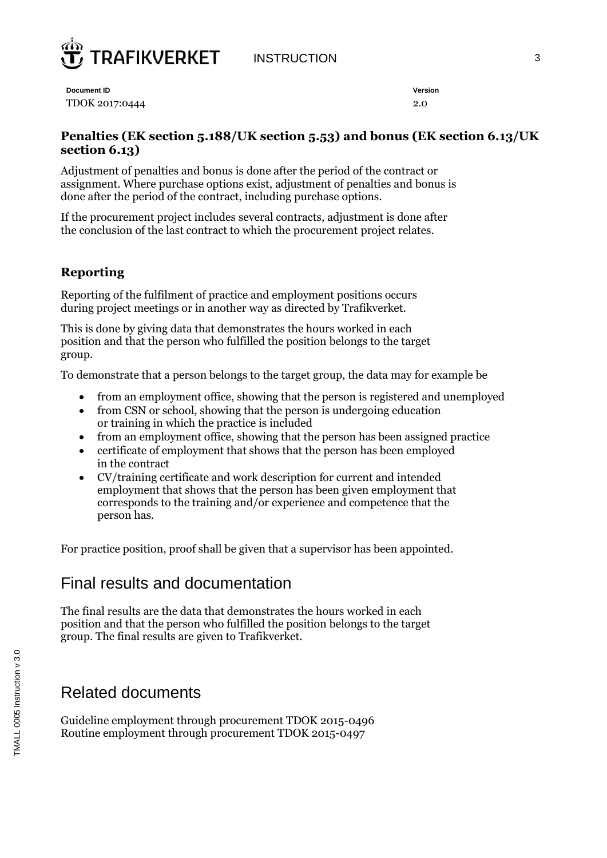

INSTRUCTION 3

**Document ID Version** TDOK 2017:0444 2.0

#### **Penalties (EK section 5.188/UK section 5.53) and bonus (EK section 6.13/UK section 6.13)**

Adjustment of penalties and bonus is done after the period of the contract or assignment. Where purchase options exist, adjustment of penalties and bonus is done after the period of the contract, including purchase options.

If the procurement project includes several contracts, adjustment is done after the conclusion of the last contract to which the procurement project relates.

#### **Reporting**

Reporting of the fulfilment of practice and employment positions occurs during project meetings or in another way as directed by Trafikverket.

This is done by giving data that demonstrates the hours worked in each position and that the person who fulfilled the position belongs to the target group.

To demonstrate that a person belongs to the target group, the data may for example be

- from an employment office, showing that the person is registered and unemployed
- from CSN or school, showing that the person is undergoing education or training in which the practice is included
- from an employment office, showing that the person has been assigned practice
- certificate of employment that shows that the person has been employed in the contract
- CV/training certificate and work description for current and intended employment that shows that the person has been given employment that corresponds to the training and/or experience and competence that the person has.

For practice position, proof shall be given that a supervisor has been appointed.

### Final results and documentation

The final results are the data that demonstrates the hours worked in each position and that the person who fulfilled the position belongs to the target group. The final results are given to Trafikverket.

### Related documents

Guideline employment through procurement TDOK 2015-0496 Routine employment through procurement TDOK 2015-0497